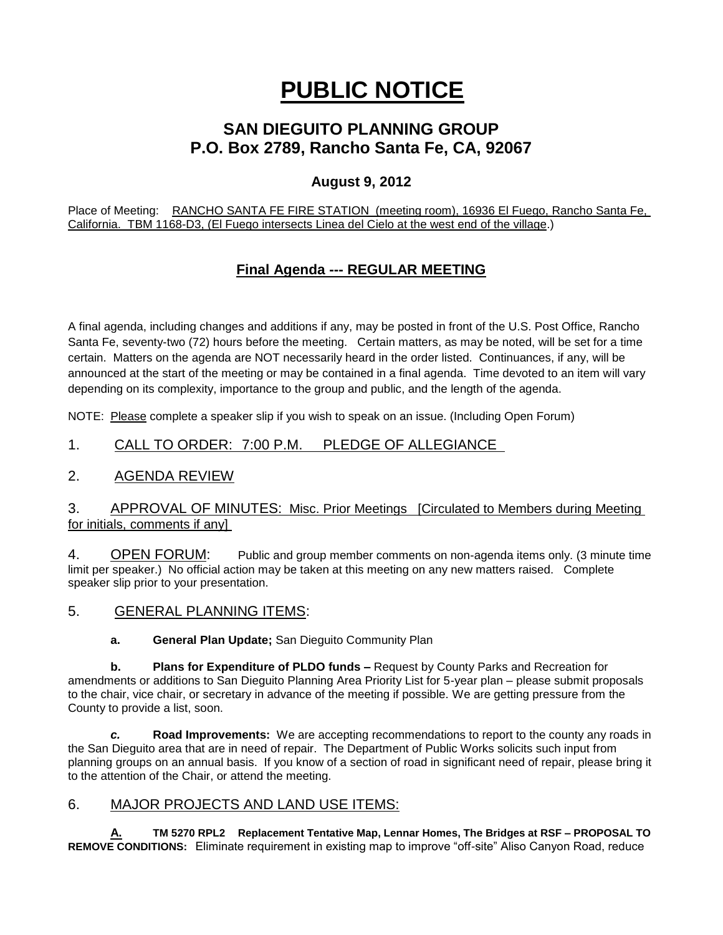# **PUBLIC NOTICE**

## **SAN DIEGUITO PLANNING GROUP P.O. Box 2789, Rancho Santa Fe, CA, 92067**

### **August 9, 2012**

Place of Meeting: RANCHO SANTA FE FIRE STATION (meeting room), 16936 El Fuego, Rancho Santa Fe, California. TBM 1168-D3, (El Fuego intersects Linea del Cielo at the west end of the village.)

## **Final Agenda --- REGULAR MEETING**

A final agenda, including changes and additions if any, may be posted in front of the U.S. Post Office, Rancho Santa Fe, seventy-two (72) hours before the meeting. Certain matters, as may be noted, will be set for a time certain. Matters on the agenda are NOT necessarily heard in the order listed. Continuances, if any, will be announced at the start of the meeting or may be contained in a final agenda. Time devoted to an item will vary depending on its complexity, importance to the group and public, and the length of the agenda.

NOTE: Please complete a speaker slip if you wish to speak on an issue. (Including Open Forum)

#### 1. CALL TO ORDER: 7:00 P.M. PLEDGE OF ALLEGIANCE

#### 2. AGENDA REVIEW

#### 3. APPROVAL OF MINUTES: Misc. Prior Meetings [Circulated to Members during Meeting for initials, comments if any]

4. OPEN FORUM: Public and group member comments on non-agenda items only. (3 minute time limit per speaker.) No official action may be taken at this meeting on any new matters raised. Complete speaker slip prior to your presentation.

5. GENERAL PLANNING ITEMS:

**a. General Plan Update;** San Dieguito Community Plan

**b. Plans for Expenditure of PLDO funds –** Request by County Parks and Recreation for amendments or additions to San Dieguito Planning Area Priority List for 5-year plan – please submit proposals to the chair, vice chair, or secretary in advance of the meeting if possible. We are getting pressure from the County to provide a list, soon.

*c.* **Road Improvements:** We are accepting recommendations to report to the county any roads in the San Dieguito area that are in need of repair. The Department of Public Works solicits such input from planning groups on an annual basis. If you know of a section of road in significant need of repair, please bring it to the attention of the Chair, or attend the meeting.

#### 6. MAJOR PROJECTS AND LAND USE ITEMS:

**A. TM 5270 RPL2 Replacement Tentative Map, Lennar Homes, The Bridges at RSF – PROPOSAL TO REMOVE CONDITIONS:** Eliminate requirement in existing map to improve "off-site" Aliso Canyon Road, reduce